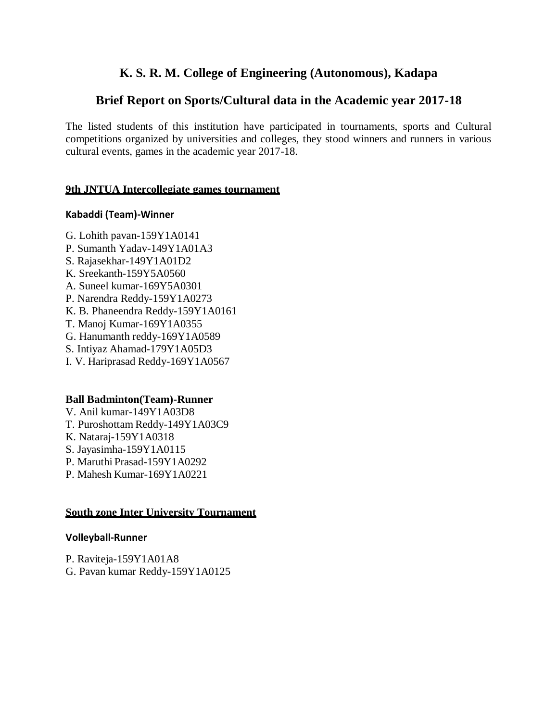## **K. S. R. M. College of Engineering (Autonomous), Kadapa**

## **Brief Report on Sports/Cultural data in the Academic year 2017-18**

The listed students of this institution have participated in tournaments, sports and Cultural competitions organized by universities and colleges, they stood winners and runners in various cultural events, games in the academic year 2017-18.

#### **9th JNTUA Intercollegiate games tournament**

#### **Kabaddi (Team)-Winner**

- G. Lohith pavan-159Y1A0141
- P. Sumanth Yadav-149Y1A01A3
- S. Rajasekhar-149Y1A01D2
- K. Sreekanth-159Y5A0560
- A. Suneel kumar-169Y5A0301
- P. Narendra Reddy-159Y1A0273
- K. B. Phaneendra Reddy-159Y1A0161
- T. Manoj Kumar-169Y1A0355
- G. Hanumanth reddy-169Y1A0589
- S. Intiyaz Ahamad-179Y1A05D3
- I. V. Hariprasad Reddy-169Y1A0567

#### **Ball Badminton(Team)-Runner**

- V. Anil kumar-149Y1A03D8
- T. Puroshottam Reddy-149Y1A03C9
- K. Nataraj-159Y1A0318
- S. Jayasimha-159Y1A0115
- P. Maruthi Prasad-159Y1A0292
- P. Mahesh Kumar-169Y1A0221

#### **South zone Inter University Tournament**

#### **Volleyball-Runner**

P. Raviteja-159Y1A01A8 G. Pavan kumar Reddy-159Y1A0125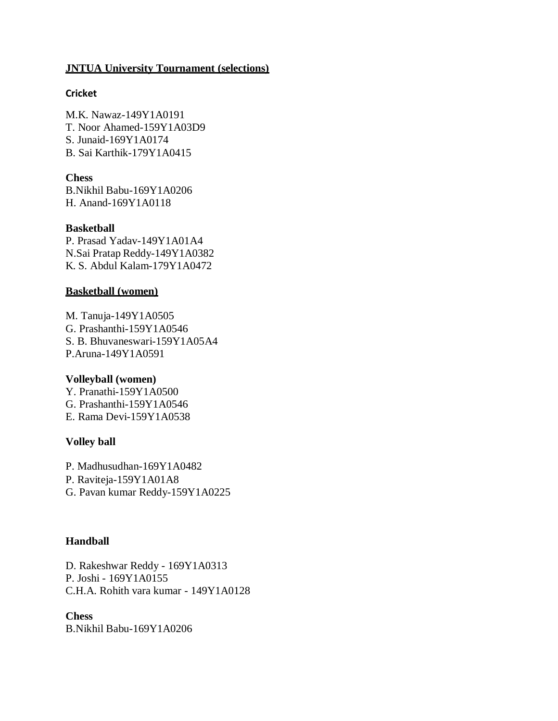#### **JNTUA University Tournament (selections)**

#### **Cricket**

M.K. Nawaz-149Y1A0191 T. Noor Ahamed-159Y1A03D9 S. Junaid-169Y1A0174 B. Sai Karthik-179Y1A0415

**Chess** B.Nikhil Babu-169Y1A0206 H. Anand-169Y1A0118

#### **Basketball**

P. Prasad Yadav-149Y1A01A4 N.Sai Pratap Reddy-149Y1A0382 K. S. Abdul Kalam-179Y1A0472

#### **Basketball (women)**

M. Tanuja-149Y1A0505 G. Prashanthi-159Y1A0546 S. B. Bhuvaneswari-159Y1A05A4 P.Aruna-149Y1A0591

#### **Volleyball (women)**

Y. Pranathi-159Y1A0500 G. Prashanthi-159Y1A0546 E. Rama Devi-159Y1A0538

#### **Volley ball**

P. Madhusudhan-169Y1A0482 P. Raviteja-159Y1A01A8 G. Pavan kumar Reddy-159Y1A0225

#### **Handball**

D. Rakeshwar Reddy - 169Y1A0313 P. Joshi - 169Y1A0155 C.H.A. Rohith vara kumar - 149Y1A0128

#### **Chess**

B.Nikhil Babu-169Y1A0206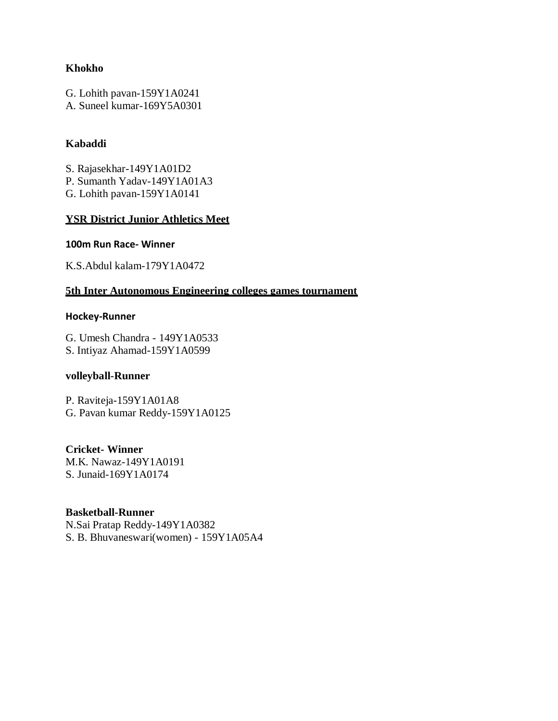#### **Khokho**

G. Lohith pavan-159Y1A0241

A. Suneel kumar-169Y5A0301

### **Kabaddi**

S. Rajasekhar-149Y1A01D2

P. Sumanth Yadav-149Y1A01A3

G. Lohith pavan-159Y1A0141

### **YSR District Junior Athletics Meet**

#### **100m Run Race- Winner**

K.S.Abdul kalam-179Y1A0472

#### **5th Inter Autonomous Engineering colleges games tournament**

#### **Hockey-Runner**

G. Umesh Chandra - 149Y1A0533 S. Intiyaz Ahamad-159Y1A0599

#### **volleyball-Runner**

P. Raviteja-159Y1A01A8 G. Pavan kumar Reddy-159Y1A0125

#### **Cricket- Winner**

M.K. Nawaz-149Y1A0191 S. Junaid-169Y1A0174

#### **Basketball-Runner**

N.Sai Pratap Reddy-149Y1A0382 S. B. Bhuvaneswari(women) - 159Y1A05A4